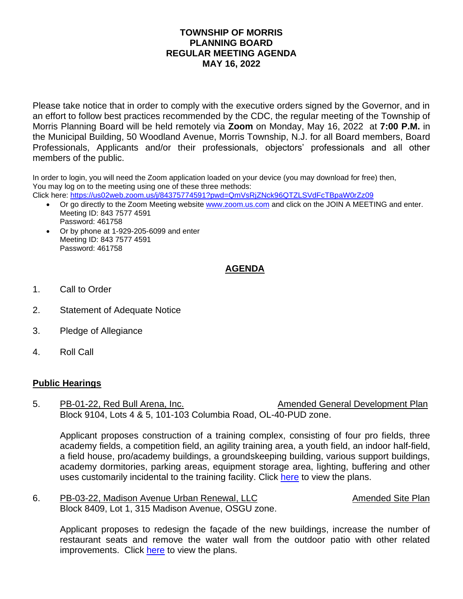## **TOWNSHIP OF MORRIS PLANNING BOARD REGULAR MEETING AGENDA MAY 16, 2022**

Please take notice that in order to comply with the executive orders signed by the Governor, and in an effort to follow best practices recommended by the CDC, the regular meeting of the Township of Morris Planning Board will be held remotely via **Zoom** on Monday, May 16, 2022 at **7:00 P.M.** in the Municipal Building, 50 Woodland Avenue, Morris Township, N.J. for all Board members, Board Professionals, Applicants and/or their professionals, objectors' professionals and all other members of the public.

In order to login, you will need the Zoom application loaded on your device (you may download for free) then, You may log on to the meeting using one of these three methods:

Click here:<https://us02web.zoom.us/j/84375774591?pwd=QmVsRjZNck96QTZLSVdFcTBpaW0rZz09>

- Or go directly to the Zoom Meeting website [www.zoom.us.com](http://www.zoom.us.com/) and click on the JOIN A MEETING and enter. Meeting ID: 843 7577 4591 Password: 461758
- Or by phone at 1-929-205-6099 and enter Meeting ID: 843 7577 4591 Password: 461758

## **AGENDA**

- 1. Call to Order
- 2. Statement of Adequate Notice
- 3. Pledge of Allegiance
- 4. Roll Call

## **Public Hearings**

5. PB-01-22, Red Bull Arena, Inc. Amended General Development Plan Block 9104, Lots 4 & 5, 101-103 Columbia Road, OL-40-PUD zone.

Applicant proposes construction of a training complex, consisting of four pro fields, three academy fields, a competition field, an agility training area, a youth field, an indoor half-field, a field house, pro/academy buildings, a groundskeeping building, various support buildings, academy dormitories, parking areas, equipment storage area, lighting, buffering and other uses customarily incidental to the training facility. Click [here](https://www.morristwp.com/953/Planning-Board-Applications) to view the plans.

6. PB-03-22, Madison Avenue Urban Renewal, LLC **Amended Site Plan** Block 8409, Lot 1, 315 Madison Avenue, OSGU zone.

Applicant proposes to redesign the façade of the new buildings, increase the number of restaurant seats and remove the water wall from the outdoor patio with other related improvements. Click [here](https://www.morristwp.com/953/Planning-Board-Applications) to view the plans.